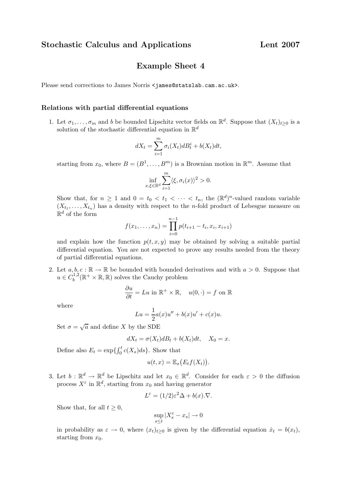## Example Sheet 4

Please send corrections to James Norris <iames@statslab.cam.ac.uk>.

## Relations with partial differential equations

1. Let  $\sigma_1, \ldots, \sigma_m$  and b be bounded Lipschitz vector fields on  $\mathbb{R}^d$ . Suppose that  $(X_t)_{t\geq 0}$  is a solution of the stochastic differential equation in  $\mathbb{R}^d$ 

$$
dX_t = \sum_{i=1}^m \sigma_i(X_t) dB_t^i + b(X_t) dt,
$$

starting from  $x_0$ , where  $B = (B^1, \ldots, B^m)$  is a Brownian motion in  $\mathbb{R}^m$ . Assume that

$$
\inf_{x,\xi\in\mathbb{R}^d}\sum_{i=1}^m\langle \xi,\sigma_i(x)\rangle^2>0.
$$

Show that, for  $n \geq 1$  and  $0 = t_0 < t_1 < \cdots < t_n$ , the  $(\mathbb{R}^d)^n$ -valued random variable  $(X_{t_1},\ldots,X_{t_n})$  has a density with respect to the *n*-fold product of Lebesgue measure on  $\mathbb{R}^d$  of the form

$$
f(x_1,...,x_n) = \prod_{i=0}^{n-1} p(t_{i+1} - t_i, x_i, x_{i+1})
$$

and explain how the function  $p(t, x, y)$  may be obtained by solving a suitable partial differential equation. You are not expected to prove any results needed from the theory of partial differential equations.

2. Let  $a, b, c : \mathbb{R} \to \mathbb{R}$  be bounded with bounded derivatives and with  $a > 0$ . Suppose that  $u \in C_b^{1,2}$  $b^{1,2}(\mathbb{R}^+\times\mathbb{R},\mathbb{R})$  solves the Cauchy problem

$$
\frac{\partial u}{\partial t} = Lu \text{ in } \mathbb{R}^+ \times \mathbb{R}, \quad u(0, \cdot) = f \text{ on } \mathbb{R}
$$

where

$$
Lu = \frac{1}{2}a(x)u'' + b(x)u' + c(x)u.
$$

Set  $\sigma = \sqrt{a}$  and define X by the SDE

$$
dX_t = \sigma(X_t)dB_t + b(X_t)dt, \quad X_0 = x.
$$

Define also  $E_t = \exp\{\int_0^t c(X_s)ds\}$ . Show that

$$
u(t,x) = \mathbb{E}_x(E_t f(X_t)).
$$

3. Let  $b: \mathbb{R}^d \to \mathbb{R}^d$  be Lipschitz and let  $x_0 \in \mathbb{R}^d$ . Consider for each  $\varepsilon > 0$  the diffusion process  $X^{\varepsilon}$  in  $\mathbb{R}^{d}$ , starting from  $x_0$  and having generator

$$
L^{\varepsilon} = (1/2)\varepsilon^2 \Delta + b(x).\nabla.
$$

Show that, for all  $t \geq 0$ ,

$$
\sup_{s\leq t}|X_{s}^{\varepsilon}-x_{s}|\rightarrow 0
$$

in probability as  $\varepsilon \to 0$ , where  $(x_t)_{t\geq 0}$  is given by the differential equation  $\dot{x}_t = b(x_t)$ , starting from  $x_0$ .